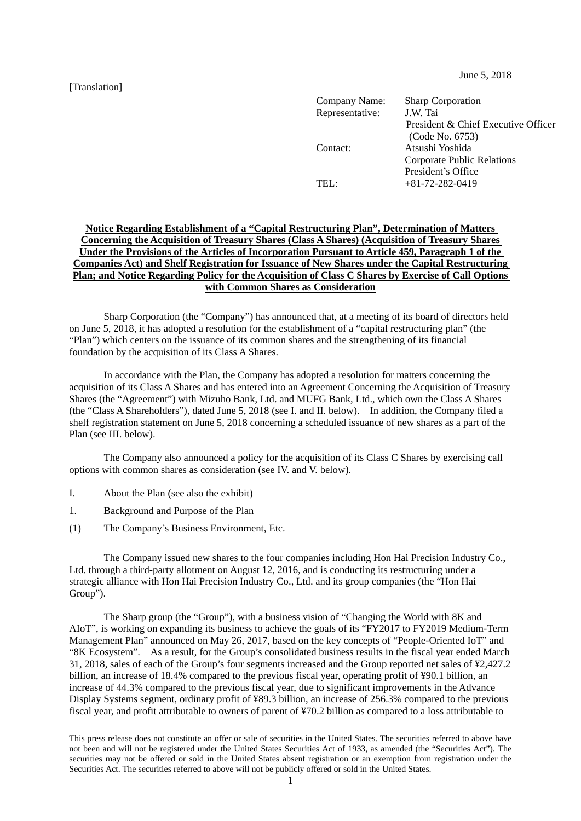[Translation]

June 5, 2018

| Company Name:   | <b>Sharp Corporation</b>            |
|-----------------|-------------------------------------|
| Representative: | J.W. Tai                            |
|                 | President & Chief Executive Officer |
|                 | (Code No. 6753)                     |
| Contact:        | Atsushi Yoshida                     |
|                 | <b>Corporate Public Relations</b>   |
|                 | President's Office                  |
| TEI:            | $+81-72-282-0419$                   |
|                 |                                     |

#### **Notice Regarding Establishment of a "Capital Restructuring Plan", Determination of Matters Concerning the Acquisition of Treasury Shares (Class A Shares) (Acquisition of Treasury Shares Under the Provisions of the Articles of Incorporation Pursuant to Article 459, Paragraph 1 of the Companies Act) and Shelf Registration for Issuance of New Shares under the Capital Restructuring Plan; and Notice Regarding Policy for the Acquisition of Class C Shares by Exercise of Call Options with Common Shares as Consideration**

 Sharp Corporation (the "Company") has announced that, at a meeting of its board of directors held on June 5, 2018, it has adopted a resolution for the establishment of a "capital restructuring plan" (the "Plan") which centers on the issuance of its common shares and the strengthening of its financial foundation by the acquisition of its Class A Shares.

 In accordance with the Plan, the Company has adopted a resolution for matters concerning the acquisition of its Class A Shares and has entered into an Agreement Concerning the Acquisition of Treasury Shares (the "Agreement") with Mizuho Bank, Ltd. and MUFG Bank, Ltd., which own the Class A Shares (the "Class A Shareholders"), dated June 5, 2018 (see I. and II. below). In addition, the Company filed a shelf registration statement on June 5, 2018 concerning a scheduled issuance of new shares as a part of the Plan (see III. below).

 The Company also announced a policy for the acquisition of its Class C Shares by exercising call options with common shares as consideration (see IV. and V. below).

- I. About the Plan (see also the exhibit)
- 1. Background and Purpose of the Plan
- (1) The Company's Business Environment, Etc.

 The Company issued new shares to the four companies including Hon Hai Precision Industry Co., Ltd. through a third-party allotment on August 12, 2016, and is conducting its restructuring under a strategic alliance with Hon Hai Precision Industry Co., Ltd. and its group companies (the "Hon Hai Group").

 The Sharp group (the "Group"), with a business vision of "Changing the World with 8K and AIoT", is working on expanding its business to achieve the goals of its "FY2017 to FY2019 Medium-Term Management Plan" announced on May 26, 2017, based on the key concepts of "People-Oriented IoT" and "8K Ecosystem". As a result, for the Group's consolidated business results in the fiscal year ended March 31, 2018, sales of each of the Group's four segments increased and the Group reported net sales of ¥2,427.2 billion, an increase of 18.4% compared to the previous fiscal year, operating profit of ¥90.1 billion, an increase of 44.3% compared to the previous fiscal year, due to significant improvements in the Advance Display Systems segment, ordinary profit of ¥89.3 billion, an increase of 256.3% compared to the previous fiscal year, and profit attributable to owners of parent of ¥70.2 billion as compared to a loss attributable to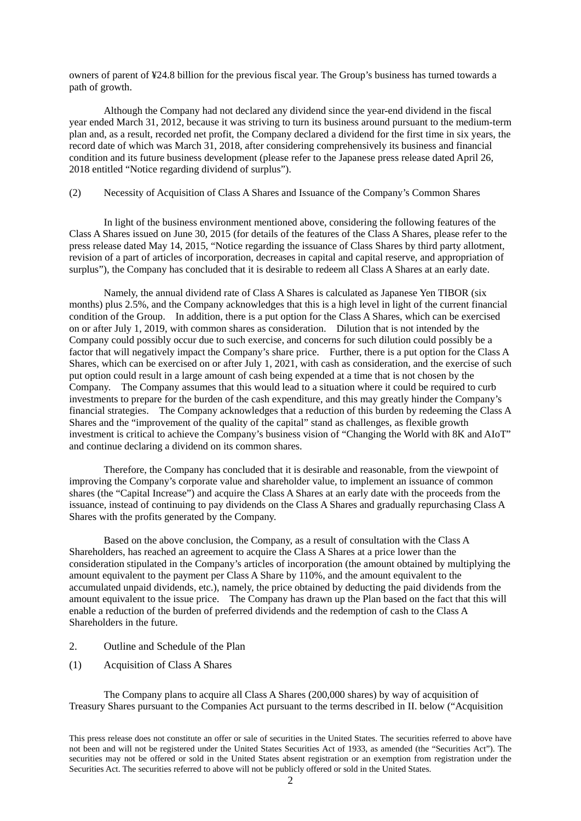owners of parent of ¥24.8 billion for the previous fiscal year. The Group's business has turned towards a path of growth.

 Although the Company had not declared any dividend since the year-end dividend in the fiscal year ended March 31, 2012, because it was striving to turn its business around pursuant to the medium-term plan and, as a result, recorded net profit, the Company declared a dividend for the first time in six years, the record date of which was March 31, 2018, after considering comprehensively its business and financial condition and its future business development (please refer to the Japanese press release dated April 26, 2018 entitled "Notice regarding dividend of surplus").

#### (2) Necessity of Acquisition of Class A Shares and Issuance of the Company's Common Shares

 In light of the business environment mentioned above, considering the following features of the Class A Shares issued on June 30, 2015 (for details of the features of the Class A Shares, please refer to the press release dated May 14, 2015, "Notice regarding the issuance of Class Shares by third party allotment, revision of a part of articles of incorporation, decreases in capital and capital reserve, and appropriation of surplus"), the Company has concluded that it is desirable to redeem all Class A Shares at an early date.

 Namely, the annual dividend rate of Class A Shares is calculated as Japanese Yen TIBOR (six months) plus 2.5%, and the Company acknowledges that this is a high level in light of the current financial condition of the Group. In addition, there is a put option for the Class A Shares, which can be exercised on or after July 1, 2019, with common shares as consideration. Dilution that is not intended by the Company could possibly occur due to such exercise, and concerns for such dilution could possibly be a factor that will negatively impact the Company's share price. Further, there is a put option for the Class A Shares, which can be exercised on or after July 1, 2021, with cash as consideration, and the exercise of such put option could result in a large amount of cash being expended at a time that is not chosen by the Company. The Company assumes that this would lead to a situation where it could be required to curb investments to prepare for the burden of the cash expenditure, and this may greatly hinder the Company's financial strategies. The Company acknowledges that a reduction of this burden by redeeming the Class A Shares and the "improvement of the quality of the capital" stand as challenges, as flexible growth investment is critical to achieve the Company's business vision of "Changing the World with 8K and AIoT" and continue declaring a dividend on its common shares.

 Therefore, the Company has concluded that it is desirable and reasonable, from the viewpoint of improving the Company's corporate value and shareholder value, to implement an issuance of common shares (the "Capital Increase") and acquire the Class A Shares at an early date with the proceeds from the issuance, instead of continuing to pay dividends on the Class A Shares and gradually repurchasing Class A Shares with the profits generated by the Company.

 Based on the above conclusion, the Company, as a result of consultation with the Class A Shareholders, has reached an agreement to acquire the Class A Shares at a price lower than the consideration stipulated in the Company's articles of incorporation (the amount obtained by multiplying the amount equivalent to the payment per Class A Share by 110%, and the amount equivalent to the accumulated unpaid dividends, etc.), namely, the price obtained by deducting the paid dividends from the amount equivalent to the issue price. The Company has drawn up the Plan based on the fact that this will enable a reduction of the burden of preferred dividends and the redemption of cash to the Class A Shareholders in the future.

- 2. Outline and Schedule of the Plan
- (1) Acquisition of Class A Shares

 The Company plans to acquire all Class A Shares (200,000 shares) by way of acquisition of Treasury Shares pursuant to the Companies Act pursuant to the terms described in II. below ("Acquisition

This press release does not constitute an offer or sale of securities in the United States. The securities referred to above have not been and will not be registered under the United States Securities Act of 1933, as amended (the "Securities Act"). The securities may not be offered or sold in the United States absent registration or an exemption from registration under the Securities Act. The securities referred to above will not be publicly offered or sold in the United States.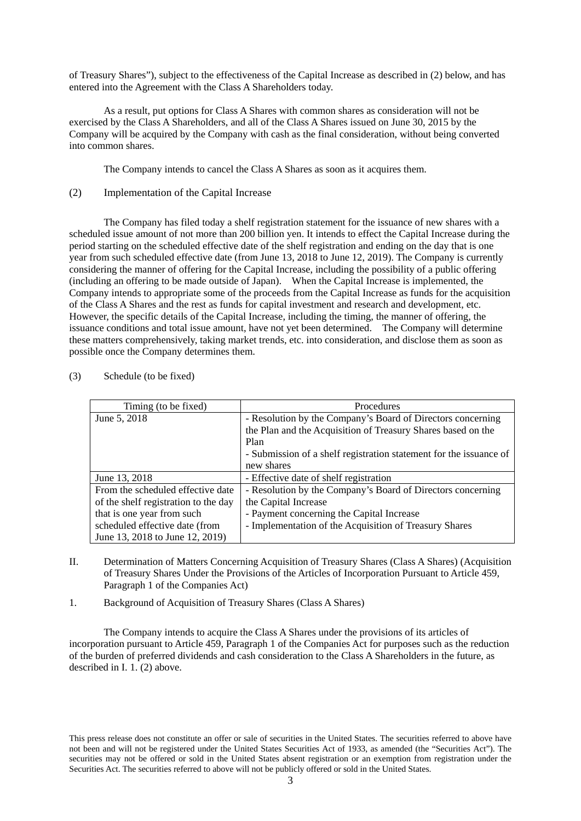of Treasury Shares"), subject to the effectiveness of the Capital Increase as described in (2) below, and has entered into the Agreement with the Class A Shareholders today.

 As a result, put options for Class A Shares with common shares as consideration will not be exercised by the Class A Shareholders, and all of the Class A Shares issued on June 30, 2015 by the Company will be acquired by the Company with cash as the final consideration, without being converted into common shares.

The Company intends to cancel the Class A Shares as soon as it acquires them.

(2) Implementation of the Capital Increase

 The Company has filed today a shelf registration statement for the issuance of new shares with a scheduled issue amount of not more than 200 billion yen. It intends to effect the Capital Increase during the period starting on the scheduled effective date of the shelf registration and ending on the day that is one year from such scheduled effective date (from June 13, 2018 to June 12, 2019). The Company is currently considering the manner of offering for the Capital Increase, including the possibility of a public offering (including an offering to be made outside of Japan). When the Capital Increase is implemented, the Company intends to appropriate some of the proceeds from the Capital Increase as funds for the acquisition of the Class A Shares and the rest as funds for capital investment and research and development, etc. However, the specific details of the Capital Increase, including the timing, the manner of offering, the issuance conditions and total issue amount, have not yet been determined. The Company will determine these matters comprehensively, taking market trends, etc. into consideration, and disclose them as soon as possible once the Company determines them.

| Timing (to be fixed)                 | <b>Procedures</b>                                                  |
|--------------------------------------|--------------------------------------------------------------------|
| June 5, 2018                         | - Resolution by the Company's Board of Directors concerning        |
|                                      | the Plan and the Acquisition of Treasury Shares based on the       |
|                                      | Plan                                                               |
|                                      | - Submission of a shelf registration statement for the issuance of |
|                                      | new shares                                                         |
| June 13, 2018                        | - Effective date of shelf registration                             |
| From the scheduled effective date    | - Resolution by the Company's Board of Directors concerning        |
| of the shelf registration to the day | the Capital Increase                                               |
| that is one year from such           | - Payment concerning the Capital Increase                          |
| scheduled effective date (from       | - Implementation of the Acquisition of Treasury Shares             |
| June 13, 2018 to June 12, 2019)      |                                                                    |

(3) Schedule (to be fixed)

- II. Determination of Matters Concerning Acquisition of Treasury Shares (Class A Shares) (Acquisition of Treasury Shares Under the Provisions of the Articles of Incorporation Pursuant to Article 459, Paragraph 1 of the Companies Act)
- 1. Background of Acquisition of Treasury Shares (Class A Shares)

The Company intends to acquire the Class A Shares under the provisions of its articles of incorporation pursuant to Article 459, Paragraph 1 of the Companies Act for purposes such as the reduction of the burden of preferred dividends and cash consideration to the Class A Shareholders in the future, as described in I. 1. (2) above.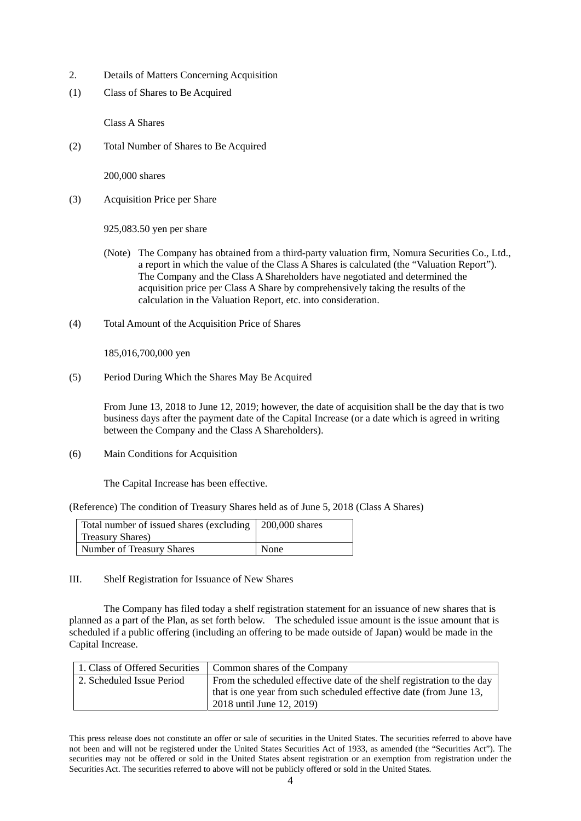- 2. Details of Matters Concerning Acquisition
- (1) Class of Shares to Be Acquired

Class A Shares

(2) Total Number of Shares to Be Acquired

200,000 shares

(3) Acquisition Price per Share

925,083.50 yen per share

- (Note) The Company has obtained from a third-party valuation firm, Nomura Securities Co., Ltd., a report in which the value of the Class A Shares is calculated (the "Valuation Report"). The Company and the Class A Shareholders have negotiated and determined the acquisition price per Class A Share by comprehensively taking the results of the calculation in the Valuation Report, etc. into consideration.
- (4) Total Amount of the Acquisition Price of Shares

185,016,700,000 yen

(5) Period During Which the Shares May Be Acquired

From June 13, 2018 to June 12, 2019; however, the date of acquisition shall be the day that is two business days after the payment date of the Capital Increase (or a date which is agreed in writing between the Company and the Class A Shareholders).

(6) Main Conditions for Acquisition

The Capital Increase has been effective.

(Reference) The condition of Treasury Shares held as of June 5, 2018 (Class A Shares)

| Total number of issued shares (excluding 200,000 shares |      |
|---------------------------------------------------------|------|
| <b>Treasury Shares</b> )                                |      |
| Number of Treasury Shares                               | None |

III. Shelf Registration for Issuance of New Shares

 The Company has filed today a shelf registration statement for an issuance of new shares that is planned as a part of the Plan, as set forth below. The scheduled issue amount is the issue amount that is scheduled if a public offering (including an offering to be made outside of Japan) would be made in the Capital Increase.

| 1. Class of Offered Securities | Common shares of the Company                                           |
|--------------------------------|------------------------------------------------------------------------|
| 2. Scheduled Issue Period      | From the scheduled effective date of the shelf registration to the day |
|                                | that is one year from such scheduled effective date (from June 13,     |
|                                | 2018 until June 12, 2019)                                              |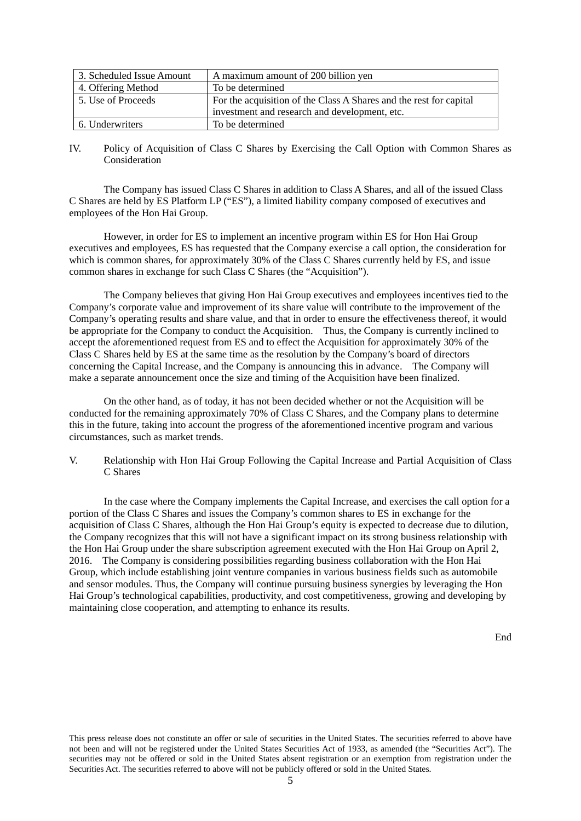| 3. Scheduled Issue Amount | A maximum amount of 200 billion yen                                |
|---------------------------|--------------------------------------------------------------------|
| 4. Offering Method        | To be determined                                                   |
| 5. Use of Proceeds        | For the acquisition of the Class A Shares and the rest for capital |
|                           | investment and research and development, etc.                      |
| 6. Underwriters           | To be determined                                                   |

#### IV. Policy of Acquisition of Class C Shares by Exercising the Call Option with Common Shares as Consideration

 The Company has issued Class C Shares in addition to Class A Shares, and all of the issued Class C Shares are held by ES Platform LP ("ES"), a limited liability company composed of executives and employees of the Hon Hai Group.

 However, in order for ES to implement an incentive program within ES for Hon Hai Group executives and employees, ES has requested that the Company exercise a call option, the consideration for which is common shares, for approximately 30% of the Class C Shares currently held by ES, and issue common shares in exchange for such Class C Shares (the "Acquisition").

 The Company believes that giving Hon Hai Group executives and employees incentives tied to the Company's corporate value and improvement of its share value will contribute to the improvement of the Company's operating results and share value, and that in order to ensure the effectiveness thereof, it would be appropriate for the Company to conduct the Acquisition. Thus, the Company is currently inclined to accept the aforementioned request from ES and to effect the Acquisition for approximately 30% of the Class C Shares held by ES at the same time as the resolution by the Company's board of directors concerning the Capital Increase, and the Company is announcing this in advance. The Company will make a separate announcement once the size and timing of the Acquisition have been finalized.

 On the other hand, as of today, it has not been decided whether or not the Acquisition will be conducted for the remaining approximately 70% of Class C Shares, and the Company plans to determine this in the future, taking into account the progress of the aforementioned incentive program and various circumstances, such as market trends.

V. Relationship with Hon Hai Group Following the Capital Increase and Partial Acquisition of Class C Shares

 In the case where the Company implements the Capital Increase, and exercises the call option for a portion of the Class C Shares and issues the Company's common shares to ES in exchange for the acquisition of Class C Shares, although the Hon Hai Group's equity is expected to decrease due to dilution, the Company recognizes that this will not have a significant impact on its strong business relationship with the Hon Hai Group under the share subscription agreement executed with the Hon Hai Group on April 2, 2016. The Company is considering possibilities regarding business collaboration with the Hon Hai Group, which include establishing joint venture companies in various business fields such as automobile and sensor modules. Thus, the Company will continue pursuing business synergies by leveraging the Hon Hai Group's technological capabilities, productivity, and cost competitiveness, growing and developing by maintaining close cooperation, and attempting to enhance its results.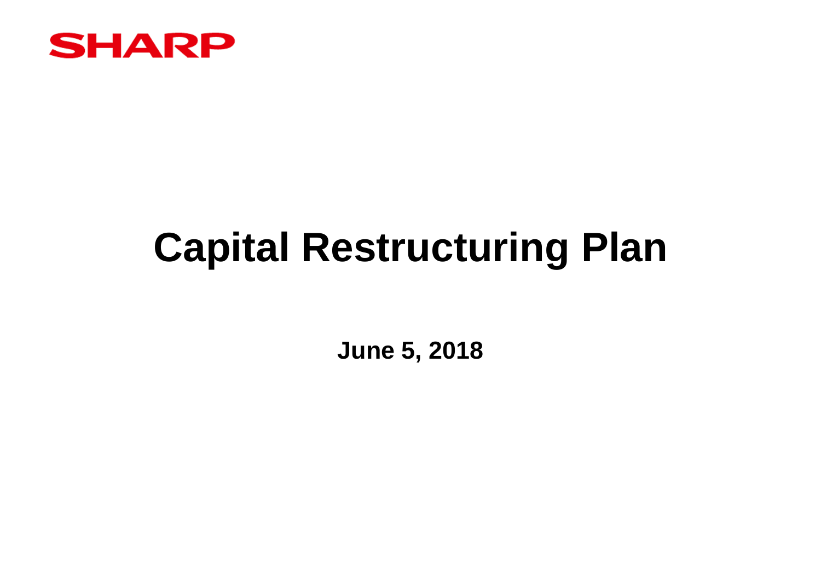

# **Capital Restructuring Plan**

**June 5, 2018**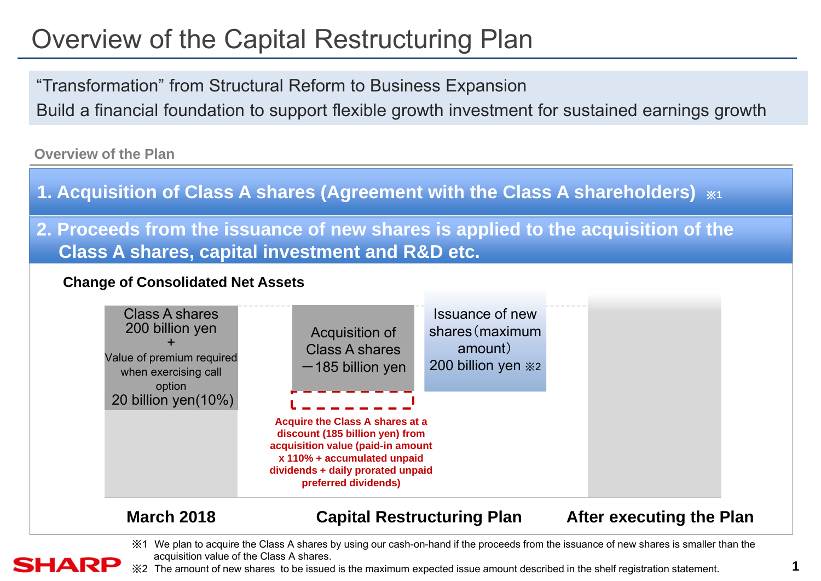## Overview of the Capital Restructuring Plan

"Transformation" from Structural Reform to Business Expansion Build a financial foundation to support flexible growth investment for sustained earnings growth

**Overview of the Plan**

- **1. Acquisition of Class A shares (Agreement with the Class A shareholders)**  ※**1**
- **2. Proceeds from the issuance of new shares is applied to the acquisition of the Class A shares, capital investment and R&D etc.**

#### **Change of Consolidated Net Assets**



### **March 2018 Capital Restructuring Plan After executing the Plan**

※1 We plan to acquire the Class A shares by using our cash-on-hand if the proceeds from the issuance of new shares is smaller than the acquisition value of the Class A shares.

### SHARP

※2 The amount of new shares to be issued is the maximum expected issue amount described in the shelf registration statement.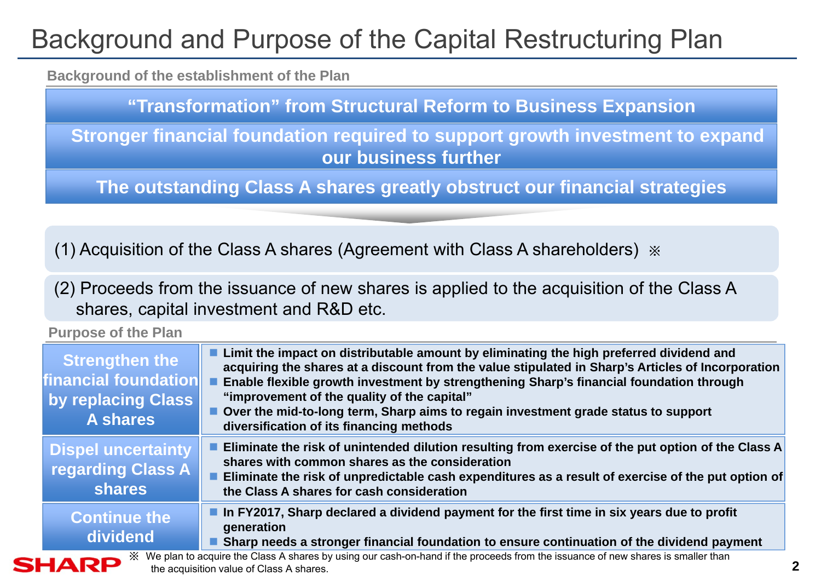## Background and Purpose of the Capital Restructuring Plan

**Background of the establishment of the Plan**

**"Transformation" from Structural Reform to Business Expansion**

**Stronger financial foundation required to support growth investment to expand our business further**

**The outstanding Class A shares greatly obstruct our financial strategies**

(1) Acquisition of the Class A shares (Agreement with Class A shareholders) ※

(2) Proceeds from the issuance of new shares is applied to the acquisition of the Class A shares, capital investment and R&D etc.

**Purpose of the Plan**

| <b>Strengthen the</b><br>financial foundation<br>by replacing Class<br><b>A shares</b>                                                                                             | Limit the impact on distributable amount by eliminating the high preferred dividend and<br>acquiring the shares at a discount from the value stipulated in Sharp's Articles of Incorporation<br>Enable flexible growth investment by strengthening Sharp's financial foundation through<br>"improvement of the quality of the capital"<br>■ Over the mid-to-long term, Sharp aims to regain investment grade status to support<br>diversification of its financing methods |  |  |  |  |
|------------------------------------------------------------------------------------------------------------------------------------------------------------------------------------|----------------------------------------------------------------------------------------------------------------------------------------------------------------------------------------------------------------------------------------------------------------------------------------------------------------------------------------------------------------------------------------------------------------------------------------------------------------------------|--|--|--|--|
| <b>Dispel uncertainty</b><br>regarding Class A<br><b>shares</b>                                                                                                                    | Eliminate the risk of unintended dilution resulting from exercise of the put option of the Class A<br>shares with common shares as the consideration<br>Eliminate the risk of unpredictable cash expenditures as a result of exercise of the put option of<br>the Class A shares for cash consideration                                                                                                                                                                    |  |  |  |  |
| <b>Continue the</b><br>dividend                                                                                                                                                    | In FY2017, Sharp declared a dividend payment for the first time in six years due to profit<br>generation<br>Sharp needs a stronger financial foundation to ensure continuation of the dividend payment                                                                                                                                                                                                                                                                     |  |  |  |  |
| We plan to acquire the Class A shares by using our cash-on-hand if the proceeds from the issuance of new shares is smaller than<br>HARP<br>the acquisition value of Class A shares |                                                                                                                                                                                                                                                                                                                                                                                                                                                                            |  |  |  |  |

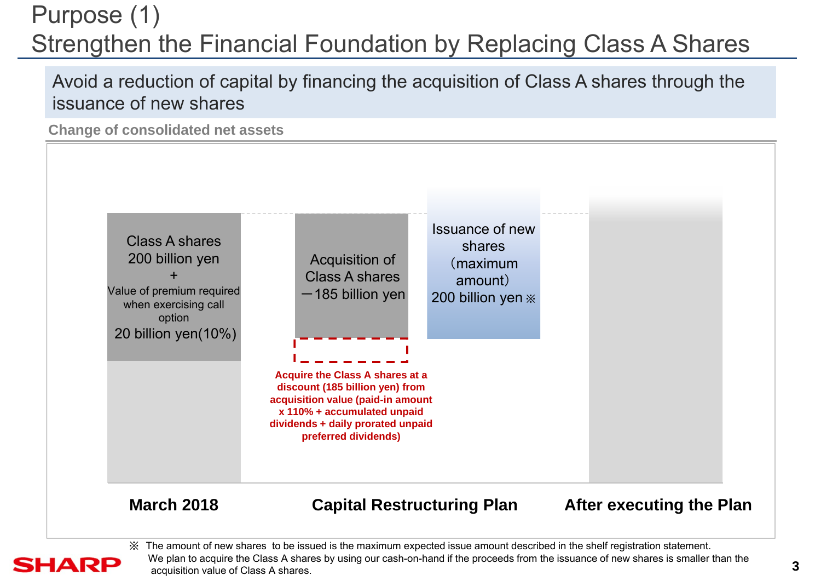## Purpose (1) Strengthen the Financial Foundation by Replacing Class A Shares

Avoid a reduction of capital by financing the acquisition of Class A shares through the issuance of new shares

**Change of consolidated net assets** 

**SHARP** 



※ The amount of new shares to be issued is the maximum expected issue amount described in the shelf registration statement. We plan to acquire the Class A shares by using our cash-on-hand if the proceeds from the issuance of new shares is smaller than the acquisition value of Class A shares.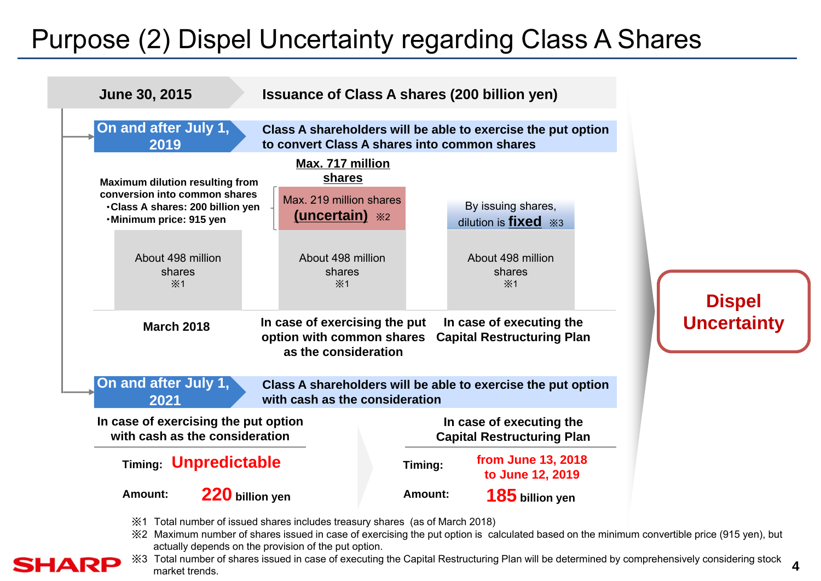## Purpose (2) Dispel Uncertainty regarding Class A Shares



※2 Maximum number of shares issued in case of exercising the put option is calculated based on the minimum convertible price (915 yen), but actually depends on the provision of the put option.



※3 Total number of shares issued in case of executing the Capital Restructuring Plan will be determined by comprehensively considering stock market trends.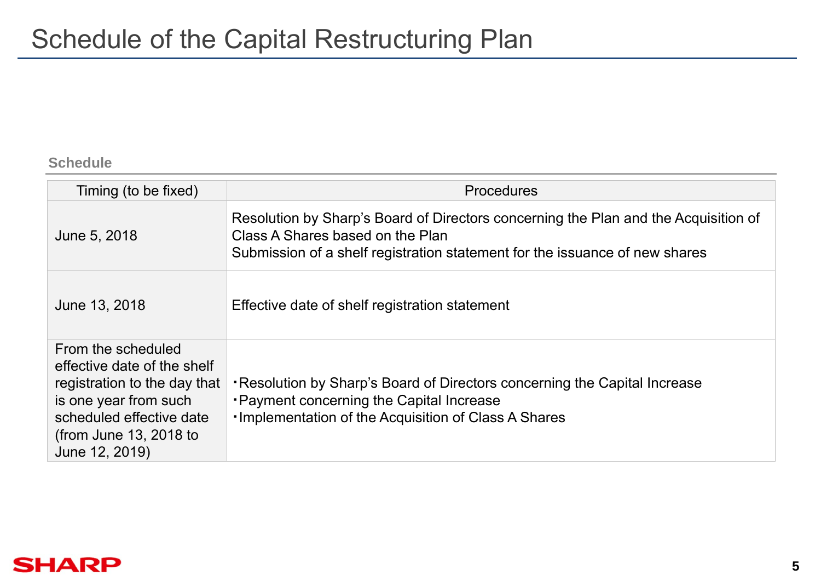#### **Schedule**

| Timing (to be fixed)                                                                                                                                                               | <b>Procedures</b>                                                                                                                                                                                      |
|------------------------------------------------------------------------------------------------------------------------------------------------------------------------------------|--------------------------------------------------------------------------------------------------------------------------------------------------------------------------------------------------------|
| June 5, 2018                                                                                                                                                                       | Resolution by Sharp's Board of Directors concerning the Plan and the Acquisition of<br>Class A Shares based on the Plan<br>Submission of a shelf registration statement for the issuance of new shares |
| June 13, 2018                                                                                                                                                                      | Effective date of shelf registration statement                                                                                                                                                         |
| From the scheduled<br>effective date of the shelf<br>registration to the day that<br>is one year from such<br>scheduled effective date<br>(from June 13, 2018 to<br>June 12, 2019) | . Resolution by Sharp's Board of Directors concerning the Capital Increase<br><b>• Payment concerning the Capital Increase</b><br><b>·Implementation of the Acquisition of Class A Shares</b>          |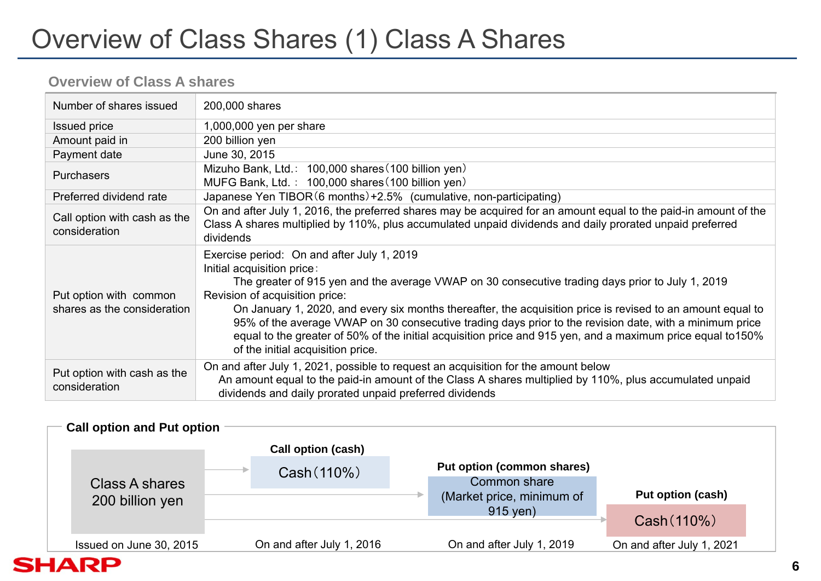## Overview of Class Shares (1) Class A Shares

### **Overview of Class A shares**

| Number of shares issued                               | 200,000 shares                                                                                                                                                                                                                                                                                                                                                                                                                                                                                                                                                                               |
|-------------------------------------------------------|----------------------------------------------------------------------------------------------------------------------------------------------------------------------------------------------------------------------------------------------------------------------------------------------------------------------------------------------------------------------------------------------------------------------------------------------------------------------------------------------------------------------------------------------------------------------------------------------|
| <b>Issued price</b>                                   | 1,000,000 yen per share                                                                                                                                                                                                                                                                                                                                                                                                                                                                                                                                                                      |
| Amount paid in                                        | 200 billion yen                                                                                                                                                                                                                                                                                                                                                                                                                                                                                                                                                                              |
| Payment date                                          | June 30, 2015                                                                                                                                                                                                                                                                                                                                                                                                                                                                                                                                                                                |
| <b>Purchasers</b>                                     | Mizuho Bank, Ltd.: 100,000 shares (100 billion yen)<br>MUFG Bank, Ltd.: 100,000 shares (100 billion yen)                                                                                                                                                                                                                                                                                                                                                                                                                                                                                     |
| Preferred dividend rate                               | Japanese Yen TIBOR (6 months) +2.5% (cumulative, non-participating)                                                                                                                                                                                                                                                                                                                                                                                                                                                                                                                          |
| Call option with cash as the<br>consideration         | On and after July 1, 2016, the preferred shares may be acquired for an amount equal to the paid-in amount of the<br>Class A shares multiplied by 110%, plus accumulated unpaid dividends and daily prorated unpaid preferred<br>dividends                                                                                                                                                                                                                                                                                                                                                    |
| Put option with common<br>shares as the consideration | Exercise period: On and after July 1, 2019<br>Initial acquisition price:<br>The greater of 915 yen and the average VWAP on 30 consecutive trading days prior to July 1, 2019<br>Revision of acquisition price:<br>On January 1, 2020, and every six months thereafter, the acquisition price is revised to an amount equal to<br>95% of the average VWAP on 30 consecutive trading days prior to the revision date, with a minimum price<br>equal to the greater of 50% of the initial acquisition price and 915 yen, and a maximum price equal to 150%<br>of the initial acquisition price. |
| Put option with cash as the<br>consideration          | On and after July 1, 2021, possible to request an acquisition for the amount below<br>An amount equal to the paid-in amount of the Class A shares multiplied by 110%, plus accumulated unpaid<br>dividends and daily prorated unpaid preferred dividends                                                                                                                                                                                                                                                                                                                                     |

| <b>Call option and Put option</b> |                           |                                   |                           |
|-----------------------------------|---------------------------|-----------------------------------|---------------------------|
|                                   | Call option (cash)        |                                   |                           |
|                                   | Cash (110%)               | <b>Put option (common shares)</b> |                           |
| Class A shares                    |                           | Common share                      |                           |
| 200 billion yen                   |                           | (Market price, minimum of         | Put option (cash)         |
|                                   |                           | 915 yen)                          |                           |
|                                   |                           |                                   | Cash (110%)               |
| Issued on June 30, 2015           | On and after July 1, 2016 | On and after July 1, 2019         | On and after July 1, 2021 |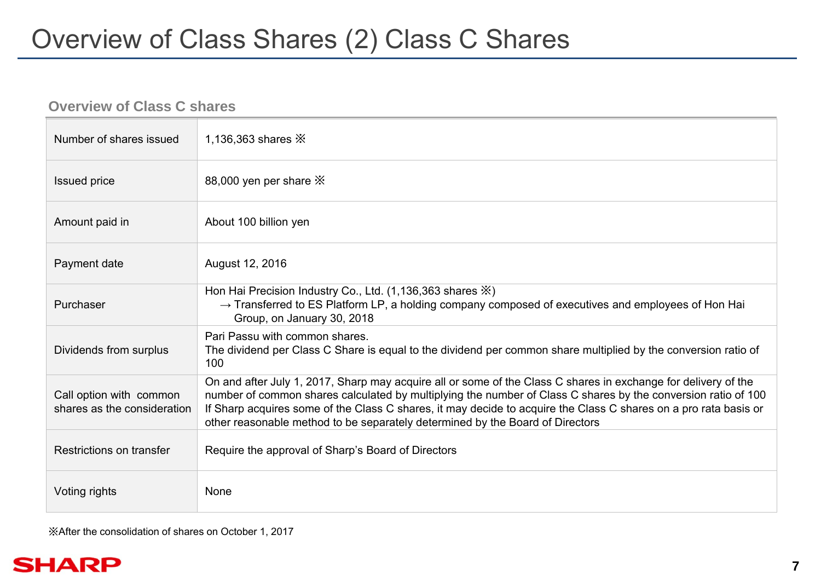### **Overview of Class C shares**

| Number of shares issued                                | 1,136,363 shares $\mathbb{X}$                                                                                                                                                                                                                                                                                                                                                                                                        |
|--------------------------------------------------------|--------------------------------------------------------------------------------------------------------------------------------------------------------------------------------------------------------------------------------------------------------------------------------------------------------------------------------------------------------------------------------------------------------------------------------------|
| <b>Issued price</b>                                    | 88,000 yen per share X                                                                                                                                                                                                                                                                                                                                                                                                               |
| Amount paid in                                         | About 100 billion yen                                                                                                                                                                                                                                                                                                                                                                                                                |
| Payment date                                           | August 12, 2016                                                                                                                                                                                                                                                                                                                                                                                                                      |
| Purchaser                                              | Hon Hai Precision Industry Co., Ltd. $(1,136,363 \text{ shares } \%)$<br>$\rightarrow$ Transferred to ES Platform LP, a holding company composed of executives and employees of Hon Hai<br>Group, on January 30, 2018                                                                                                                                                                                                                |
| Dividends from surplus                                 | Pari Passu with common shares.<br>The dividend per Class C Share is equal to the dividend per common share multiplied by the conversion ratio of<br>100                                                                                                                                                                                                                                                                              |
| Call option with common<br>shares as the consideration | On and after July 1, 2017, Sharp may acquire all or some of the Class C shares in exchange for delivery of the<br>number of common shares calculated by multiplying the number of Class C shares by the conversion ratio of 100<br>If Sharp acquires some of the Class C shares, it may decide to acquire the Class C shares on a pro rata basis or<br>other reasonable method to be separately determined by the Board of Directors |
| Restrictions on transfer                               | Require the approval of Sharp's Board of Directors                                                                                                                                                                                                                                                                                                                                                                                   |
| Voting rights                                          | None                                                                                                                                                                                                                                                                                                                                                                                                                                 |

※After the consolidation of shares on October 1, 2017

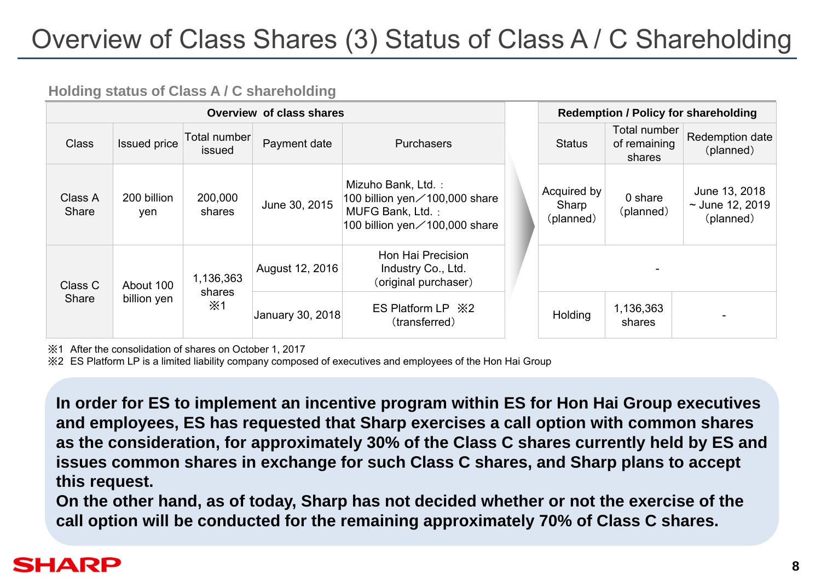## Overview of Class Shares (3) Status of Class A / C Shareholding

### **Holding status of Class A / C shareholding**

| Overview of class shares |                     |                        |                  |                                                                                                                            | <b>Redemption / Policy for shareholding</b> |                                   |                                        |                                                    |
|--------------------------|---------------------|------------------------|------------------|----------------------------------------------------------------------------------------------------------------------------|---------------------------------------------|-----------------------------------|----------------------------------------|----------------------------------------------------|
| <b>Class</b>             | <b>Issued price</b> | Total number<br>issued | Payment date     | <b>Purchasers</b>                                                                                                          |                                             | <b>Status</b>                     | Total number<br>of remaining<br>shares | Redemption date<br>(planned)                       |
| Class A<br>Share         | 200 billion<br>yen  | 200,000<br>shares      | June 30, 2015    | Mizuho Bank, Ltd.:<br>100 billion yen $\angle$ 100,000 share<br>MUFG Bank, Ltd.:<br>100 billion yen $\angle$ 100,000 share |                                             | Acquired by<br>Sharp<br>(planned) | 0 share<br>(planned)                   | June 13, 2018<br>$\sim$ June 12, 2019<br>(planned) |
| Class C<br>About 100     |                     | 1,136,363<br>shares    | August 12, 2016  | Hon Hai Precision<br>Industry Co., Ltd.<br>(original purchaser)                                                            |                                             |                                   |                                        |                                                    |
| Share                    | billion yen         | $\times$ 1             | January 30, 2018 | ES Platform LP $\,\times\, 2$<br>(transferred)                                                                             |                                             | Holding                           | 1,136,363<br>shares                    |                                                    |

※1 After the consolidation of shares on October 1, 2017

※2 ES Platform LP is a limited liability company composed of executives and employees of the Hon Hai Group

**In order for ES to implement an incentive program within ES for Hon Hai Group executives and employees, ES has requested that Sharp exercises a call option with common shares as the consideration, for approximately 30% of the Class C shares currently held by ES and issues common shares in exchange for such Class C shares, and Sharp plans to accept this request.**

**On the other hand, as of today, Sharp has not decided whether or not the exercise of the call option will be conducted for the remaining approximately 70% of Class C shares.**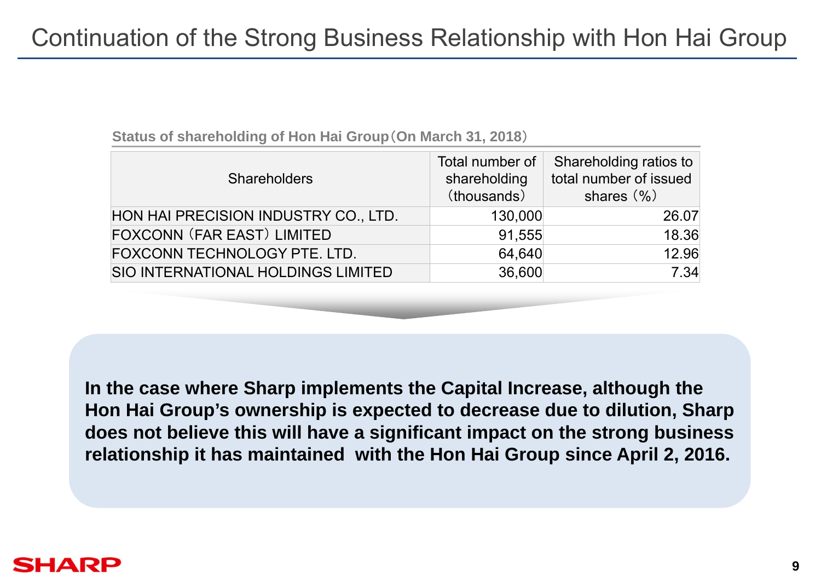| <b>Shareholders</b>                  | Total number of<br>shareholding<br>(thousands) | Shareholding ratios to<br>total number of issued<br>shares (%) |
|--------------------------------------|------------------------------------------------|----------------------------------------------------------------|
| HON HAI PRECISION INDUSTRY CO., LTD. | 130,000                                        | 26.07                                                          |
| <b>FOXCONN (FAR EAST) LIMITED</b>    | 91,555                                         | 18.36                                                          |
| FOXCONN TECHNOLOGY PTE. LTD.         | 64,640                                         | 12.96                                                          |
| SIO INTERNATIONAL HOLDINGS LIMITED   | 36,600                                         | 7.34                                                           |

**Status of shareholding of Hon Hai Group**(**On March 31, 2018**)

**In the case where Sharp implements the Capital Increase, although the Hon Hai Group's ownership is expected to decrease due to dilution, Sharp does not believe this will have a significant impact on the strong business relationship it has maintained with the Hon Hai Group since April 2, 2016.**